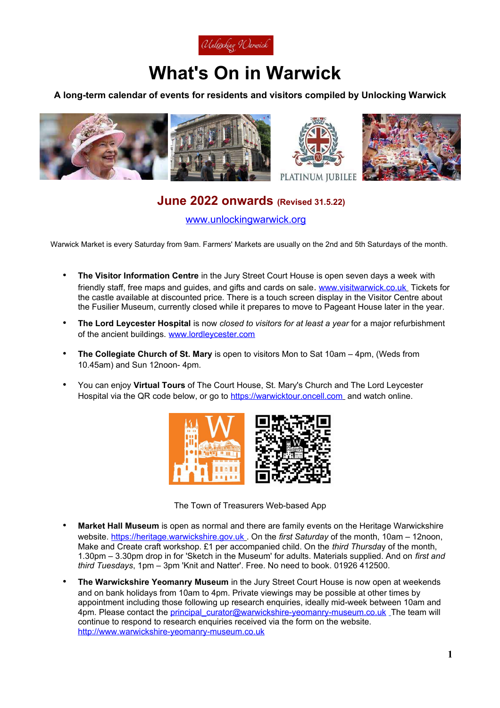

# **What's On in Warwick**

### **A long-term calendar of events for residents and visitors compiled by Unlocking Warwick**



# **June 2022 onwards (Revised 31.5.22)**

[www.unlockingwarwick.org](http://www.unlockingwarwick.org/)

Warwick Market is every Saturday from 9am. Farmers' Markets are usually on the 2nd and 5th Saturdays of the month.

- **The Visitor Information Centre** in the Jury Street Court House is open seven days a week with friendly staff, free maps and guides, and gifts and cards on sale. [www.visitwarwick.co.uk](http://www.visitwarwick.co.uk/) Tickets for the castle available at discounted price. There is a touch screen display in the Visitor Centre about the Fusilier Museum, currently closed while it prepares to move to Pageant House later in the year.
- **The Lord Leycester Hospital** is now *closed to visitors for at least a year* for a major refurbishment of the ancient buildings. [www.lordleycester.com](http://www.lordleycester.com/)
- **The Collegiate Church of St. Mary** is open to visitors Mon to Sat 10am 4pm, (Weds from 10.45am) and Sun 12noon- 4pm.
- You can enjoy **Virtual Tours** of The Court House, St. Mary's Church and The Lord Leycester Hospital via the QR code below, or go to [https://warwicktour.oncell.com](https://warwicktour.oncell.com/) and watch online.





- **Market Hall Museum** is open as normal and there are family events on the Heritage Warwickshire website. [https://heritage.warwickshire.gov.uk](https://heritage.warwickshire.gov.uk/) . On the *first Saturday* of the month, 10am – 12noon, Make and Create craft workshop. £1 per accompanied child. On the *third Thursda*y of the month, 1.30pm – 3.30pm drop in for 'Sketch in the Museum' for adults. Materials supplied. And on *first and third Tuesdays*, 1pm – 3pm 'Knit and Natter'. Free. No need to book. 01926 412500.
- **The Warwickshire Yeomanry Museum** in the Jury Street Court House is now open at weekends and on bank holidays from 10am to 4pm. Private viewings may be possible at other times by appointment including those following up research enquiries, ideally mid-week between 10am and 4pm. Please contact the principal curator@warwickshire-yeomanry-museum.co.uk The team will continue to respond to research enquiries received via the form on the website. [http://www.warwickshire-yeomanry-museum.co.uk](http://www.warwickshire-yeomanry-museum.co.uk/)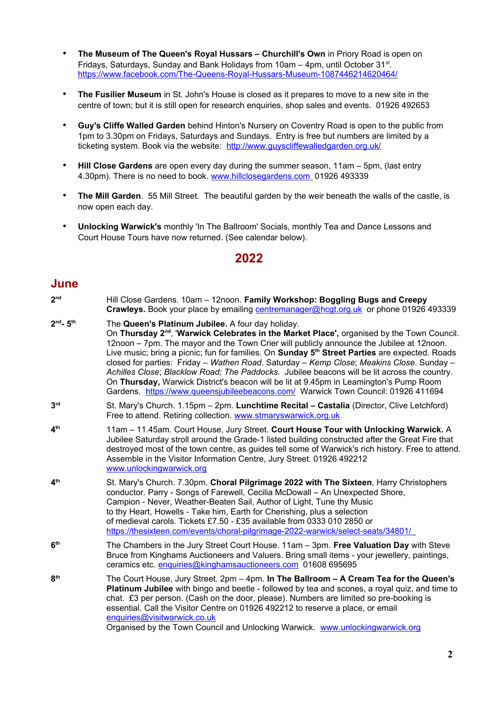- **The Museum of The Queen's Royal Hussars Churchill's Own** in Priory Road is open on Fridays, Saturdays, Sunday and Bank Holidays from 10am - 4pm, until October 31<sup>st</sup>. <https://www.facebook.com/The-Queens-Royal-Hussars-Museum-1087446214620464/>
- **The Fusilier Museum** in St. John's House is closed as it prepares to move to a new site in the centre of town; but it is still open for research enquiries, shop sales and events. 01926 492653
- **Guy's Cliffe Walled Garden** behind Hinton's Nursery on Coventry Road is open to the public from 1pm to 3.30pm on Fridays, Saturdays and Sundays. Entry is free but numbers are limited by a ticketing system. Book via the website: <http://www.guyscliffewalledgarden.org.uk/>
- **Hill Close Gardens** are open every day during the summer season, 11am 5pm, (last entry 4.30pm). There is no need to book. [www.hillclosegardens.com](http://www.hillclosegardens.com/) 01926 493339
- **The Mill Garden**. 55 Mill Street. The beautiful garden by the weir beneath the walls of the castle, is now open each day.
- **Unlocking Warwick's** monthly 'In The Ballroom' Socials, monthly Tea and Dance Lessons and Court House Tours have now returned. (See calendar below).

#### **2022**

## **June**

| 2 <sup>nd</sup>          | Hill Close Gardens. 10am - 12noon. Family Workshop: Boggling Bugs and Creepy<br>Crawleys. Book your place by emailing centremanager@hcgt.org.uk or phone 01926 493339                                                                                                                                                                                                                                                                                                                                                                                                                                                                                                                                                                |
|--------------------------|--------------------------------------------------------------------------------------------------------------------------------------------------------------------------------------------------------------------------------------------------------------------------------------------------------------------------------------------------------------------------------------------------------------------------------------------------------------------------------------------------------------------------------------------------------------------------------------------------------------------------------------------------------------------------------------------------------------------------------------|
| $2nd - 5th$              | The Queen's Platinum Jubilee. A four day holiday.<br>On Thursday 2 <sup>nd</sup> , 'Warwick Celebrates in the Market Place', organised by the Town Council.<br>12noon - 7pm. The mayor and the Town Crier will publicly announce the Jubilee at 12noon.<br>Live music; bring a picnic; fun for families. On Sunday 5th Street Parties are expected. Roads<br>closed for parties: Friday - Wathen Road. Saturday - Kemp Close; Meakins Close. Sunday -<br>Achilles Close; Blacklow Road; The Paddocks. Jubilee beacons will be lit across the country.<br>On Thursday, Warwick District's beacon will be lit at 9.45pm in Leamington's Pump Room<br>Gardens. https://www.queensjubileebeacons.com/ Warwick Town Council: 01926 411694 |
| 3 <sup>rd</sup>          | St. Mary's Church. 1.15pm - 2pm. Lunchtime Recital - Castalia (Director, Clive Letchford)<br>Free to attend. Retiring collection. www.stmaryswarwick.org.uk                                                                                                                                                                                                                                                                                                                                                                                                                                                                                                                                                                          |
| $\mathbf{A}^{\text{th}}$ | 11am - 11.45am. Court House, Jury Street. Court House Tour with Unlocking Warwick. A<br>Jubilee Saturday stroll around the Grade-1 listed building constructed after the Great Fire that<br>destroyed most of the town centre, as guides tell some of Warwick's rich history. Free to attend.<br>Assemble in the Visitor Information Centre, Jury Street. 01926 492212<br>www.unlockingwarwick.org                                                                                                                                                                                                                                                                                                                                   |
| 4 <sup>th</sup>          | St. Mary's Church. 7.30pm. Choral Pilgrimage 2022 with The Sixteen, Harry Christophers<br>conductor. Parry - Songs of Farewell, Cecilia McDowall - An Unexpected Shore,<br>Campion - Never, Weather-Beaten Sail, Author of Light, Tune thy Music<br>to thy Heart, Howells - Take him, Earth for Cherishing, plus a selection<br>of medieval carols. Tickets £7.50 - £35 available from 0333 010 2850 or<br>https://thesixteen.com/events/choral-pilgrimage-2022-warwick/select-seats/34801/                                                                                                                                                                                                                                          |
| 6 <sup>th</sup>          | The Chambers in the Jury Street Court House. 11am - 3pm. Free Valuation Day with Steve<br>Bruce from Kinghams Auctioneers and Valuers. Bring small items - your jewellery, paintings,<br>ceramics etc. enquiries@kinghamsauctioneers.com 01608 695695                                                                                                                                                                                                                                                                                                                                                                                                                                                                                |
| R <sup>th</sup>          | The Court House, Jury Street. 2pm - 4pm. In The Ballroom - A Cream Tea for the Queen's<br><b>Platinum Jubilee</b> with bingo and beetle - followed by tea and scones, a royal quiz, and time to<br>chat. £3 per person. (Cash on the door, please). Numbers are limited so pre-booking is<br>essential. Call the Visitor Centre on 01926 492212 to reserve a place, or email<br>enquiries@visitwarwick.co.uk<br>Organised by the Town Council and Unlocking Warwick. www.unlockingwarwick.org                                                                                                                                                                                                                                        |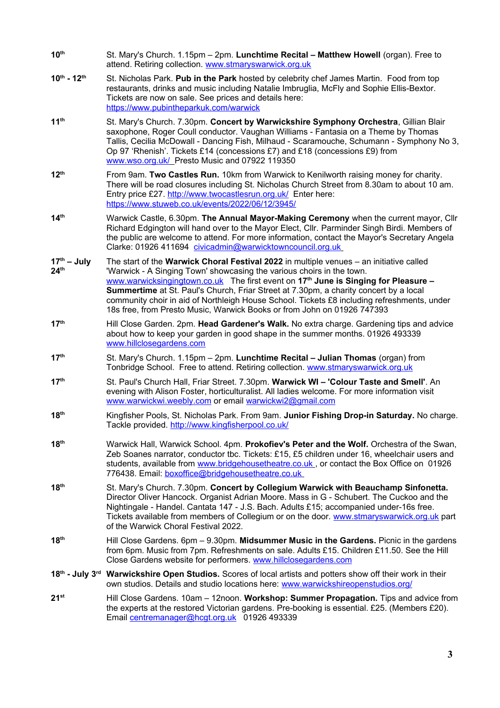- **10th** St. Mary's Church. 1.15pm 2pm. **Lunchtime Recital Matthew Howell** (organ). Free to attend. Retiring collection. [www.stmaryswarwick.org.uk](http://www.stmaryswarwick.org.uk/)
- **10th 12th** St. Nicholas Park. **Pub in the Park** hosted by celebrity chef James Martin. Food from top restaurants, drinks and music including Natalie Imbruglia, McFly and Sophie Ellis-Bextor. Tickets are now on sale. See prices and details here: <https://www.pubintheparkuk.com/warwick>
- **11th** St. Mary's Church. 7.30pm. **Concert by Warwickshire Symphony Orchestra**, Gillian Blair saxophone, Roger Coull conductor. Vaughan Williams - Fantasia on a Theme by Thomas Tallis, Cecilia McDowall - Dancing Fish, Milhaud - Scaramouche, Schumann - Symphony No 3, Op 97 'Rhenish'. Tickets £14 (concessions £7) and £18 (concessions £9) from  [www.wso.org.uk/](http://www.wso.org.uk/) Presto Music and 07922 119350
- **12th** From 9am. **Two Castles Run.** 10km from Warwick to Kenilworth raising money for charity. There will be road closures including St. Nicholas Church Street from 8.30am to about 10 am. Entry price £27.<http://www.twocastlesrun.org.uk/>Enter here: <https://www.stuweb.co.uk/events/2022/06/12/3945/>
- **14th** Warwick Castle, 6.30pm. **The Annual Mayor-Making Ceremony** when the current mayor, Cllr Richard Edgington will hand over to the Mayor Elect, Cllr. Parminder Singh Birdi. Members of the public are welcome to attend. For more information, contact the Mayor's Secretary Angela Clarke: 01926 411694 [civicadmin@warwicktowncouncil.org.uk](mailto:civicadmin@warwicktowncouncil.org.uk)
- **17th July 24th** The start of the **Warwick Choral Festival 2022** in multiple venues – an initiative called 'Warwick - A Singing Town' showcasing the various choirs in the town. [www.warwicksingingtown.co.uk](http://www.warwicksingingtown.co.uk/) The first event on **17th June is Singing for Pleasure – Summertime** at St. Paul's Church, Friar Street at 7.30pm, a charity concert by a local community choir in aid of Northleigh House School. Tickets £8 including refreshments, under 18s free, from Presto Music, Warwick Books or from John on 01926 747393
- **17th** Hill Close Garden. 2pm. **Head Gardener's Walk.** No extra charge. Gardening tips and advice about how to keep your garden in good shape in the summer months. 01926 493339 [www.hillclosegardens.com](http://www.hillclosegardens.com/)
- **17th** St. Mary's Church. 1.15pm 2pm. **Lunchtime Recital Julian Thomas** (organ) from Tonbridge School. Free to attend. Retiring collection. [www.stmaryswarwick.org.uk](http://www.stmaryswarwick.org.uk/)
- **17th** St. Paul's Church Hall, Friar Street. 7.30pm. **Warwick WI 'Colour Taste and Smell'**. An evening with Alison Foster, horticulturalist. All ladies welcome. For more information visit [www.warwickwi.weebly.com](http://www.warwickwi.weebly.com/) or email [warwickwi2@gmail.com](mailto:warwickwi2@gmail.com)
- **18th** Kingfisher Pools, St. Nicholas Park. From 9am. **Junior Fishing Drop-in Saturday.** No charge. Tackle provided.<http://www.kingfisherpool.co.uk/>
- **18th** Warwick Hall, Warwick School. 4pm. **Prokofiev's Peter and the Wolf.** Orchestra of the Swan, Zeb Soanes narrator, conductor tbc. Tickets: £15, £5 children under 16, wheelchair users and students, available from [www.bridgehousetheatre.co.uk](http://www.bridgehousetheatre.co.uk/) or contact the Box Office on 01926 776438. Email: [boxoffice@bridgehousetheatre.co.uk](mailto:boxoffice@bridgehousetheatre.co.uk)
- **18th** St. Mary's Church. 7.30pm. **Concert by Collegium Warwick with Beauchamp Sinfonetta.**  Director Oliver Hancock. Organist Adrian Moore. Mass in G - Schubert. The Cuckoo and the Nightingale - Handel. Cantata 147 - J.S. Bach. Adults £15; accompanied under-16s free. Tickets available from members of Collegium or on the door. [www.stmaryswarwick.org.uk](http://www.stmaryswarwick.org.uk/) part of the Warwick Choral Festival 2022.
- **18th** Hill Close Gardens. 6pm 9.30pm. **Midsummer Music in the Gardens.** Picnic in the gardens from 6pm. Music from 7pm. Refreshments on sale. Adults £15. Children £11.50. See the Hill Close Gardens website for performers. [www.hillclosegardens.com](http://www.hillclosegardens.com/)
- **18th July 3rd Warwickshire Open Studios.** Scores of local artists and potters show off their work in their own studios. Details and studio locations here: [www.warwickshireopenstudios.org/](https://www.warwickshireopenstudios.org/)
- **21st** Hill Close Gardens. 10am 12noon. **Workshop: Summer Propagation.** Tips and advice from the experts at the restored Victorian gardens. Pre-booking is essential. £25. (Members £20). Email [centremanager@hcgt.org.uk](mailto:centremanager@hcgt.org.uk) 01926 493339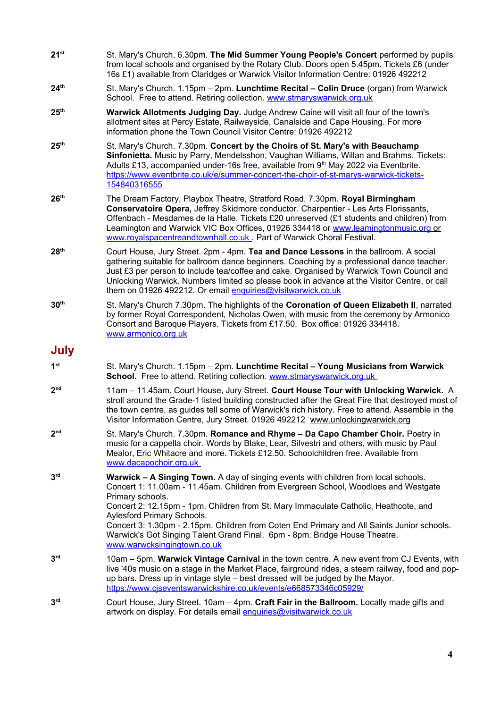- **21st** St. Mary's Church. 6.30pm. **The Mid Summer Young People's Concert** performed by pupils from local schools and organised by the Rotary Club. Doors open 5.45pm. Tickets £6 (under 16s £1) available from Claridges or Warwick Visitor Information Centre: 01926 492212
- **24th** St. Mary's Church. 1.15pm 2pm. **Lunchtime Recital Colin Druce** (organ) from Warwick School. Free to attend. Retiring collection. [www.stmaryswarwick.org.uk](http://www.stmaryswarwick.org.uk/)
- **25th Warwick Allotments Judging Day.** Judge Andrew Caine will visit all four of the town's allotment sites at Percy Estate, Railwayside, Canalside and Cape Housing. For more information phone the Town Council Visitor Centre: 01926 492212
- **25th** St. Mary's Church. 7.30pm. **Concert by the Choirs of St. Mary's with Beauchamp Sinfonietta.** Music by Parry, Mendelsshon, Vaughan Williams, Willan and Brahms. Tickets: Adults £13, accompanied under-16s free, available from  $9<sup>th</sup>$  May 2022 via Eventbrite. [https://www.eventbrite.co.uk/e/summer-concert-the-choir-of-st-marys-warwick-tickets-](https://www.eventbrite.co.uk/e/summer-concert-the-choir-of-st-marys-warwick-tickets-154840316555)  [154840316555](https://www.eventbrite.co.uk/e/summer-concert-the-choir-of-st-marys-warwick-tickets-154840316555)
- **26th** The Dream Factory, Playbox Theatre, Stratford Road. 7.30pm. **Royal Birmingham Conservatoire Opera,** Jeffrey Skidmore conductor. Charpentier - Les Arts Florissants, Offenbach - Mesdames de la Halle. Tickets £20 unreserved (£1 students and children) from Leamington and Warwick VIC Box Offices, 01926 334418 or [www.leamingtonmusic.org](http://www.leamingtonmusic.org/) or www.royalspacentreandtownhall.co.uk . Part of Warwick Choral Festival.
- **28th** Court House, Jury Street. 2pm 4pm. **Tea and Dance Lessons** in the ballroom. A social gathering suitable for ballroom dance beginners. Coaching by a professional dance teacher. Just £3 per person to include tea/coffee and cake. Organised by Warwick Town Council and Unlocking Warwick. Numbers limited so please book in advance at the Visitor Centre, or call them on 01926 492212. Or email enquiries@visitwarwick.co.uk
- **30th** St. Mary's Church 7.30pm. The highlights of the **Coronation of Queen Elizabeth II**, narrated by former Royal Correspondent, Nicholas Owen, with music from the ceremony by Armonico Consort and Baroque Players. Tickets from £17.50. Box office: 01926 334418. [www.armonico.org.uk](http://www.armonico.org.uk/)

# **July**

- **1**st **st** St. Mary's Church. 1.15pm – 2pm. **Lunchtime Recital – Young Musicians from Warwick** School. Free to attend. Retiring collection. [www.stmaryswarwick.org.uk](http://www.stmaryswarwick.org.uk/)
- **2** 11am – 11.45am. Court House, Jury Street. Court House Tour with Unlocking Warwick. A stroll around the Grade-1 listed building constructed after the Great Fire that destroyed most of the town centre, as guides tell some of Warwick's rich history. Free to attend. Assemble in the Visitor Information Centre, Jury Street. 01926 492212 [www.unlockingwarwick.org](http://www.unlockingwarwick.org/)
- **2** St. Mary's Church. 7.30pm. **Romance and Rhyme – Da Capo Chamber Choir.** Poetry in music for a cappella choir. Words by Blake, Lear, Silvestri and others, with music by Paul Mealor, Eric Whitacre and more. Tickets £12.50. Schoolchildren free. Available from  [www.dacapochoir.org.uk](http://www.dacapochoir.org.uk/)
- **3 Warwick – A Singing Town.** A day of singing events with children from local schools. Concert 1: 11.00am - 11.45am. Children from Evergreen School, Woodloes and Westgate Primary schools. Concert 2: 12.15pm - 1pm. Children from St. Mary Immaculate Catholic, Heathcote, and Aylesford Primary Schools. Concert 3: 1.30pm - 2.15pm. Children from Coten End Primary and All Saints Junior schools. Warwick's Got Singing Talent Grand Final. 6pm - 8pm. Bridge House Theatre. [www.warwcksingingtown.co.uk](http://www.warwcksingingtown.co.uk/) **3 rd** 10am – 5pm. **Warwick Vintage Carnival** in the town centre. A new event from CJ Events, with live '40s music on a stage in the Market Place, fairground rides, a steam railway, food and popup bars. Dress up in vintage style – best dressed will be judged by the Mayor.
- <https://www.cjseventswarwickshire.co.uk/events/e668573346c05929/> **3 rd** Court House, Jury Street. 10am – 4pm. **Craft Fair in the Ballroom.** Locally made gifts and artwork on display. For details email [enquiries@visitwarwick.co.uk](mailto:enquiries@visitwarwick.co.uk)
	-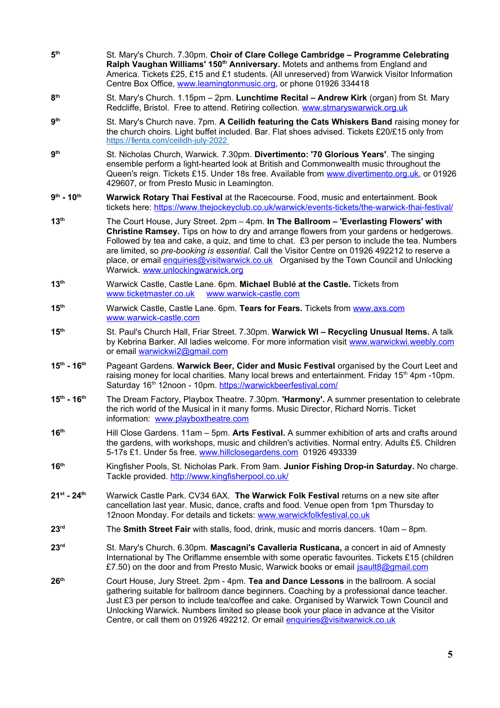- **5 th** St. Mary's Church. 7.30pm. **Choir of Clare College Cambridge – Programme Celebrating Ralph Vaughan Williams' 150th Anniversary.** Motets and anthems from England and America. Tickets £25, £15 and £1 students. (All unreserved) from Warwick Visitor Information Centre Box Office, [www.leamingtonmusic.org,](http://www.leamingtonmusic.org/) or phone 01926 334418
- **8 th** St. Mary's Church. 1.15pm – 2pm. **Lunchtime Recital – Andrew Kirk** (organ) from St. Mary Redcliffe, Bristol. Free to attend. Retiring collection. [www.stmaryswarwick.org.uk](http://www.stmaryswarwick.org.uk/)
- **9 th** St. Mary's Church nave. 7pm. **A Ceilidh featuring the Cats Whiskers Band** raising money for the church choirs. Light buffet included. Bar. Flat shoes advised. Tickets £20/£15 only from <https://fienta.com/ceilidh-july-2022>
- **9 th** St. Nicholas Church, Warwick. 7.30pm. **Divertimento: '70 Glorious Years'**. The singing ensemble perform a light-hearted look at British and Commonwealth music throughout the Queen's reign. Tickets £15. Under 18s free. Available from [www.divertimento.org.uk,](http://www.divertimento.org.uk/) or 01926 429607, or from Presto Music in Leamington.
- 9<sup>th</sup> 10<sup>th</sup> **Warwick Rotary Thai Festival** at the Racecourse. Food, music and entertainment. Book tickets here:<https://www.thejockeyclub.co.uk/warwick/events-tickets/the-warwick-thai-festival/>
- **13th** The Court House, Jury Street. 2pm 4pm. **In The Ballroom 'Everlasting Flowers' with Christine Ramsey.** Tips on how to dry and arrange flowers from your gardens or hedgerows. Followed by tea and cake, a quiz, and time to chat. £3 per person to include the tea. Numbers are limited, so *pre-booking is essential.* Call the Visitor Centre on 01926 492212 to reserve a place, or email [enquiries@visitwarwick.co.uk](mailto:enquiries@visitwaarwick.co.uk) Organised by the Town Council and Unlocking Warwick. [www.unlockingwarwick.org](http://www.unlockingwarwick.org/)
- **13th** Warwick Castle, Castle Lane. 6pm. **Michael Bublé at the Castle.** Tickets from [www.ticketmaster.co.uk](http://www.ticketmaster.co.uk/) [www.warwick-castle.com](http://www.warwick-castle.com/)
- **15th** Warwick Castle, Castle Lane. 6pm. **Tears for Fears.** Tickets from [www.axs.com](http://www.axs.com/)  [www.warwick-castle.com](http://www.warwick-castle.com/)
- **15th** St. Paul's Church Hall, Friar Street. 7.30pm. **Warwick WI Recycling Unusual Items.** A talk by Kebrina Barker. All ladies welcome. For more information visit [www.warwickwi.weebly.com](http://www.warwickwi.weebly.com/) or email [warwickwi2@gmail.com](mailto:warwickwi2@gmail.com)
- **15th 16th** Pageant Gardens. **Warwick Beer, Cider and Music Festival** organised by the Court Leet and raising money for local charities. Many local brews and entertainment. Friday  $15<sup>th</sup>$  4pm -10pm. Saturday 16<sup>th</sup> 12noon - 10pm.<https://warwickbeerfestival.com/>
- **15th 16th** The Dream Factory, Playbox Theatre. 7.30pm. **'Harmony'.** A summer presentation to celebrate the rich world of the Musical in it many forms. Music Director, Richard Norris. Ticket information: [www.playboxtheatre.com](http://www.playboxtheatre.com/)
- **16th** Hill Close Gardens. 11am 5pm. **Arts Festival.** A summer exhibition of arts and crafts around the gardens, with workshops, music and children's activities. Normal entry. Adults £5. Children 5-17s £1. Under 5s free. [www.hillclosegardens.com](http://www.hillclosegardens.com/) 01926 493339
- **16th** Kingfisher Pools, St. Nicholas Park. From 9am. **Junior Fishing Drop-in Saturday.** No charge. Tackle provided.<http://www.kingfisherpool.co.uk/>
- **21st 24th** Warwick Castle Park. CV34 6AX. **The Warwick Folk Festival** returns on a new site after cancellation last year. Music, dance, crafts and food. Venue open from 1pm Thursday to 12noon Monday. For details and tickets: [www.warwickfolkfestival.co.uk](http://www.warwickfolkfestival.co.uk/)
- **23rd** The **Smith Street Fair** with stalls, food, drink, music and morris dancers. 10am 8pm.
- **23rd** St. Mary's Church. 6.30pm. **Mascagni's Cavalleria Rusticana,** a concert in aid of Amnesty International by The Oriflamme ensemble with some operatic favourites. Tickets £15 (children £7.50) on the door and from Presto Music, Warwick books or email [jsault8@gmail.com](mailto:jsault8@gmail.com)
- **26th** Court House, Jury Street. 2pm 4pm. **Tea and Dance Lessons** in the ballroom. A social gathering suitable for ballroom dance beginners. Coaching by a professional dance teacher. Just £3 per person to include tea/coffee and cake. Organised by Warwick Town Council and Unlocking Warwick. Numbers limited so please book your place in advance at the Visitor Centre, or call them on 01926 492212. Or email enquiries@visitwarwick.co.uk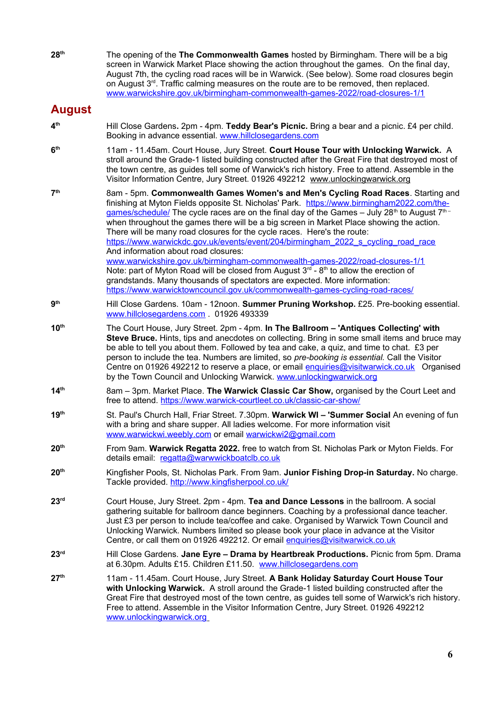**28th** The opening of the **The Commonwealth Games** hosted by Birmingham. There will be a big screen in Warwick Market Place showing the action throughout the games. On the final day, August 7th, the cycling road races will be in Warwick. (See below). Some road closures begin on August 3<sup>rd</sup>. Traffic calming measures on the route are to be removed, then replaced. [www.warwickshire.gov.uk/birmingham-commonwealth-games-2022/road-closures-1/1](http://www.warwickshire.gov.uk/birmingham-commonwealth-games-2022/road-closures-1/1)

## **August**

- **4 th** Hill Close Gardens**.** 2pm - 4pm. **Teddy Bear's Picnic.** Bring a bear and a picnic. £4 per child. Booking in advance essential. [www.hillclosegardens.com](http://www.hillclosegardens.com/)
- **6 th** 11am - 11.45am. Court House, Jury Street. **Court House Tour with Unlocking Warwick.** A stroll around the Grade-1 listed building constructed after the Great Fire that destroyed most of the town centre, as guides tell some of Warwick's rich history. Free to attend. Assemble in the Visitor Information Centre, Jury Street. 01926 492212 [www.unlockingwarwick.org](http://www.unlockingwarwick.org/)
- **7 th** 8am - 5pm. **Commonwealth Games Women's and Men's Cycling Road Races**. Starting and finishing at Myton Fields opposite St. Nicholas' Park. [https://www.birmingham2022.com/the](https://www.birmingham2022.com/the-games/schedule/)[games/schedule/](https://www.birmingham2022.com/the-games/schedule/) The cycle races are on the final day of the Games - July 28<sup>th</sup> to August  $7<sup>th</sup>$ when throughout the games there will be a big screen in Market Place showing the action. There will be many road closures for the cycle races. Here's the route: https://www.warwickdc.gov.uk/events/event/204/birmingham\_2022\_s\_cycling\_road\_race And information about road closures: [www.warwickshire.gov.uk/birmingham-commonwealth-games-2022/road-closures-1/1](http://www.warwickshire.gov.uk/birmingham-commonwealth-games-2022/road-closures-1/1)  Note: part of Myton Road will be closed from August  $3<sup>d</sup>$  - 8<sup>th</sup> to allow the erection of grandstands. Many thousands of spectators are expected. More information: <https://www.warwicktowncouncil.gov.uk/commonwealth-games-cycling-road-races/>
- **9 th** Hill Close Gardens. 10am - 12noon. **Summer Pruning Workshop.** £25. Pre-booking essential. [www.hillclosegardens.com](http://www.hillclosegardens.com/) . 01926 493339
- **10th** The Court House, Jury Street. 2pm 4pm. **In The Ballroom 'Antiques Collecting' with Steve Bruce.** Hints, tips and anecdotes on collecting. Bring in some small items and bruce may be able to tell you about them. Followed by tea and cake, a quiz, and time to chat. £3 per person to include the tea. Numbers are limited, so *pre-booking is essential.* Call the Visitor Centre on 01926 492212 to reserve a place, or email [enquiries@visitwarwick.co.uk](mailto:enquiries@visitwaarwick.co.uk) Organised by the Town Council and Unlocking Warwick. [www.unlockingwarwick.org](http://www.unlockingwarwick.org/)
- **14th** 8am 3pm. Market Place. **The Warwick Classic Car Show,** organised by the Court Leet and free to attend.<https://www.warwick-courtleet.co.uk/classic-car-show/>
- **19th** St. Paul's Church Hall, Friar Street. 7.30pm. **Warwick WI 'Summer Social** An evening of fun with a bring and share supper. All ladies welcome. For more information visit [www.warwickwi.weebly.com](http://www.warwickwi.weebly.com/) or email [warwickwi2@gmail.com](mailto:warwickwi2@gmail.com)
- **20th** From 9am. **Warwick Regatta 2022.** free to watch from St. Nicholas Park or Myton Fields. For details email: [regatta@warwwickboatclb.co.uk](mailto:regatta@warwwickboatclb.co.uk)
- **20th** Kingfisher Pools, St. Nicholas Park. From 9am. **Junior Fishing Drop-in Saturday.** No charge. Tackle provided.<http://www.kingfisherpool.co.uk/>
- **23rd** Court House, Jury Street. 2pm 4pm. **Tea and Dance Lessons** in the ballroom. A social gathering suitable for ballroom dance beginners. Coaching by a professional dance teacher. Just £3 per person to include tea/coffee and cake. Organised by Warwick Town Council and Unlocking Warwick. Numbers limited so please book your place in advance at the Visitor Centre, or call them on 01926 492212. Or email enquiries@visitwarwick.co.uk
- **23rd** Hill Close Gardens. **Jane Eyre Drama by Heartbreak Productions.** Picnic from 5pm. Drama at 6.30pm. Adults £15. Children £11.50. [www.hillclosegardens.com](http://www.hillcloseegardens.com/)
- **27th** 11am 11.45am. Court House, Jury Street. **A Bank Holiday Saturday Court House Tour with Unlocking Warwick.** A stroll around the Grade-1 listed building constructed after the Great Fire that destroyed most of the town centre, as guides tell some of Warwick's rich history. Free to attend. Assemble in the Visitor Information Centre, Jury Street. 01926 492212  [www.unlockingwarwick.org](http://www.unlockingwarwick.org/)